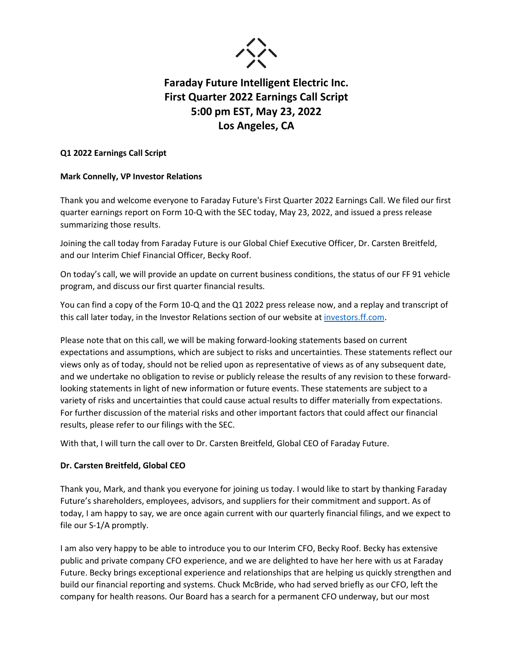

### **Q1 2022 Earnings Call Script**

### **Mark Connelly, VP Investor Relations**

Thank you and welcome everyone to Faraday Future's First Quarter 2022 Earnings Call. We filed our first quarter earnings report on Form 10-Q with the SEC today, May 23, 2022, and issued a press release summarizing those results.

Joining the call today from Faraday Future is our Global Chief Executive Officer, Dr. Carsten Breitfeld, and our Interim Chief Financial Officer, Becky Roof.

On today's call, we will provide an update on current business conditions, the status of our FF 91 vehicle program, and discuss our first quarter financial results.

You can find a copy of the Form 10-Q and the Q1 2022 press release now, and a replay and transcript of this call later today, in the Investor Relations section of our website a[t investors.ff.com.](http://www.investors.ff.com/)

Please note that on this call, we will be making forward-looking statements based on current expectations and assumptions, which are subject to risks and uncertainties. These statements reflect our views only as of today, should not be relied upon as representative of views as of any subsequent date, and we undertake no obligation to revise or publicly release the results of any revision to these forwardlooking statements in light of new information or future events. These statements are subject to a variety of risks and uncertainties that could cause actual results to differ materially from expectations. For further discussion of the material risks and other important factors that could affect our financial results, please refer to our filings with the SEC.

With that, I will turn the call over to Dr. Carsten Breitfeld, Global CEO of Faraday Future.

#### **Dr. Carsten Breitfeld, Global CEO**

Thank you, Mark, and thank you everyone for joining us today. I would like to start by thanking Faraday Future's shareholders, employees, advisors, and suppliers for their commitment and support. As of today, I am happy to say, we are once again current with our quarterly financial filings, and we expect to file our S-1/A promptly.

I am also very happy to be able to introduce you to our Interim CFO, Becky Roof. Becky has extensive public and private company CFO experience, and we are delighted to have her here with us at Faraday Future. Becky brings exceptional experience and relationships that are helping us quickly strengthen and build our financial reporting and systems. Chuck McBride, who had served briefly as our CFO, left the company for health reasons. Our Board has a search for a permanent CFO underway, but our most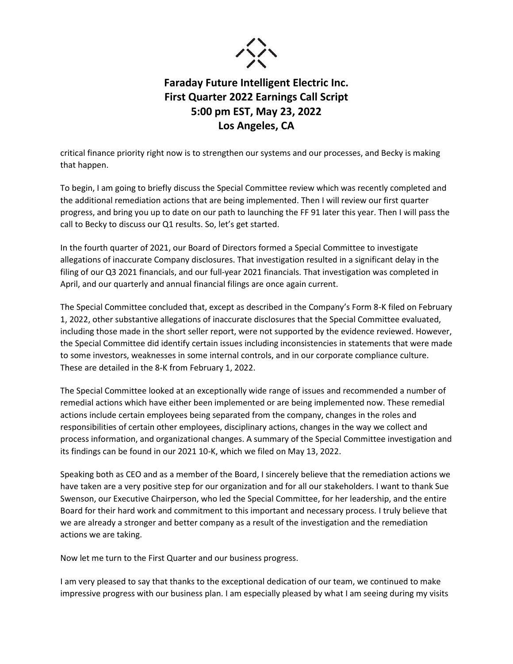

critical finance priority right now is to strengthen our systems and our processes, and Becky is making that happen.

To begin, I am going to briefly discuss the Special Committee review which was recently completed and the additional remediation actions that are being implemented. Then I will review our first quarter progress, and bring you up to date on our path to launching the FF 91 later this year. Then I will pass the call to Becky to discuss our Q1 results. So, let's get started.

In the fourth quarter of 2021, our Board of Directors formed a Special Committee to investigate allegations of inaccurate Company disclosures. That investigation resulted in a significant delay in the filing of our Q3 2021 financials, and our full-year 2021 financials. That investigation was completed in April, and our quarterly and annual financial filings are once again current.

The Special Committee concluded that, except as described in the Company's Form 8-K filed on February 1, 2022, other substantive allegations of inaccurate disclosures that the Special Committee evaluated, including those made in the short seller report, were not supported by the evidence reviewed. However, the Special Committee did identify certain issues including inconsistencies in statements that were made to some investors, weaknesses in some internal controls, and in our corporate compliance culture. These are detailed in the 8-K from February 1, 2022.

The Special Committee looked at an exceptionally wide range of issues and recommended a number of remedial actions which have either been implemented or are being implemented now. These remedial actions include certain employees being separated from the company, changes in the roles and responsibilities of certain other employees, disciplinary actions, changes in the way we collect and process information, and organizational changes. A summary of the Special Committee investigation and its findings can be found in our 2021 10-K, which we filed on May 13, 2022.

Speaking both as CEO and as a member of the Board, I sincerely believe that the remediation actions we have taken are a very positive step for our organization and for all our stakeholders. I want to thank Sue Swenson, our Executive Chairperson, who led the Special Committee, for her leadership, and the entire Board for their hard work and commitment to this important and necessary process. I truly believe that we are already a stronger and better company as a result of the investigation and the remediation actions we are taking.

Now let me turn to the First Quarter and our business progress.

I am very pleased to say that thanks to the exceptional dedication of our team, we continued to make impressive progress with our business plan. I am especially pleased by what I am seeing during my visits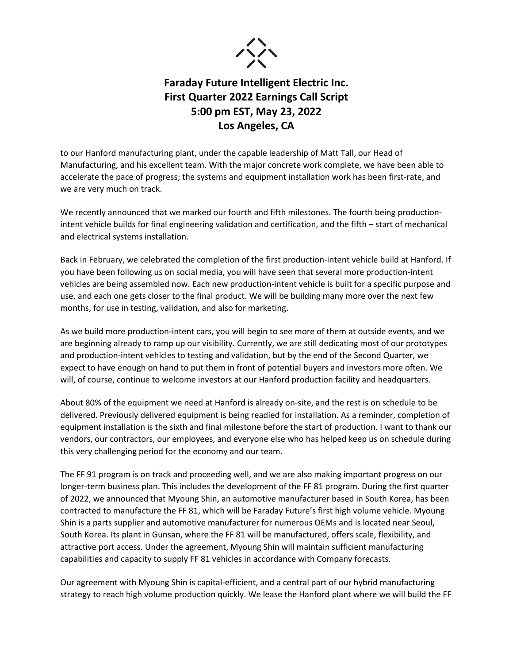

to our Hanford manufacturing plant, under the capable leadership of Matt Tall, our Head of Manufacturing, and his excellent team. With the major concrete work complete, we have been able to accelerate the pace of progress; the systems and equipment installation work has been first-rate, and we are very much on track.

We recently announced that we marked our fourth and fifth milestones. The fourth being productionintent vehicle builds for final engineering validation and certification, and the fifth – start of mechanical and electrical systems installation.

Back in February, we celebrated the completion of the first production-intent vehicle build at Hanford. If you have been following us on social media, you will have seen that several more production-intent vehicles are being assembled now. Each new production-intent vehicle is built for a specific purpose and use, and each one gets closer to the final product. We will be building many more over the next few months, for use in testing, validation, and also for marketing.

As we build more production-intent cars, you will begin to see more of them at outside events, and we are beginning already to ramp up our visibility. Currently, we are still dedicating most of our prototypes and production-intent vehicles to testing and validation, but by the end of the Second Quarter, we expect to have enough on hand to put them in front of potential buyers and investors more often. We will, of course, continue to welcome investors at our Hanford production facility and headquarters.

About 80% of the equipment we need at Hanford is already on-site, and the rest is on schedule to be delivered. Previously delivered equipment is being readied for installation. As a reminder, completion of equipment installation is the sixth and final milestone before the start of production. I want to thank our vendors, our contractors, our employees, and everyone else who has helped keep us on schedule during this very challenging period for the economy and our team.

The FF 91 program is on track and proceeding well, and we are also making important progress on our longer-term business plan. This includes the development of the FF 81 program. During the first quarter of 2022, we announced that Myoung Shin, an automotive manufacturer based in South Korea, has been contracted to manufacture the FF 81, which will be Faraday Future's first high volume vehicle. Myoung Shin is a parts supplier and automotive manufacturer for numerous OEMs and is located near Seoul, South Korea. Its plant in Gunsan, where the FF 81 will be manufactured, offers scale, flexibility, and attractive port access. Under the agreement, Myoung Shin will maintain sufficient manufacturing capabilities and capacity to supply FF 81 vehicles in accordance with Company forecasts.

Our agreement with Myoung Shin is capital-efficient, and a central part of our hybrid manufacturing strategy to reach high volume production quickly. We lease the Hanford plant where we will build the FF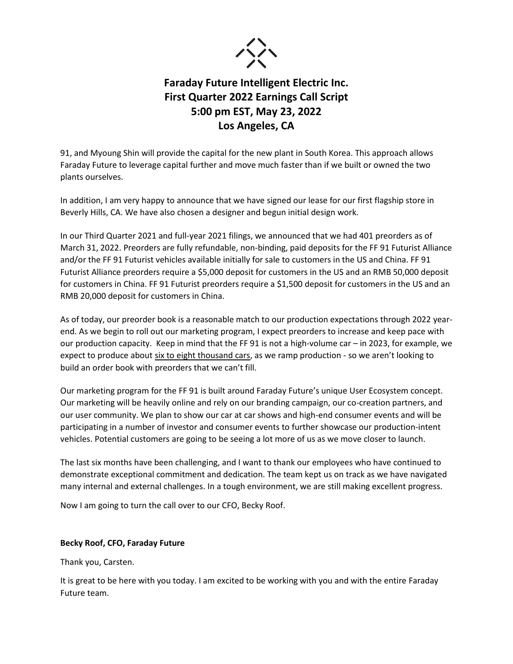

91, and Myoung Shin will provide the capital for the new plant in South Korea. This approach allows Faraday Future to leverage capital further and move much faster than if we built or owned the two plants ourselves.

In addition, I am very happy to announce that we have signed our lease for our first flagship store in Beverly Hills, CA. We have also chosen a designer and begun initial design work.

In our Third Quarter 2021 and full-year 2021 filings, we announced that we had 401 preorders as of March 31, 2022. Preorders are fully refundable, non-binding, paid deposits for the FF 91 Futurist Alliance and/or the FF 91 Futurist vehicles available initially for sale to customers in the US and China. FF 91 Futurist Alliance preorders require a \$5,000 deposit for customers in the US and an RMB 50,000 deposit for customers in China. FF 91 Futurist preorders require a \$1,500 deposit for customers in the US and an RMB 20,000 deposit for customers in China.

As of today, our preorder book is a reasonable match to our production expectations through 2022 yearend. As we begin to roll out our marketing program, I expect preorders to increase and keep pace with our production capacity. Keep in mind that the FF 91 is not a high-volume car – in 2023, for example, we expect to produce about six to eight thousand cars, as we ramp production - so we aren't looking to build an order book with preorders that we can't fill.

Our marketing program for the FF 91 is built around Faraday Future's unique User Ecosystem concept. Our marketing will be heavily online and rely on our branding campaign, our co-creation partners, and our user community. We plan to show our car at car shows and high-end consumer events and will be participating in a number of investor and consumer events to further showcase our production-intent vehicles. Potential customers are going to be seeing a lot more of us as we move closer to launch.

The last six months have been challenging, and I want to thank our employees who have continued to demonstrate exceptional commitment and dedication. The team kept us on track as we have navigated many internal and external challenges. In a tough environment, we are still making excellent progress.

Now I am going to turn the call over to our CFO, Becky Roof.

#### **Becky Roof, CFO, Faraday Future**

Thank you, Carsten.

It is great to be here with you today. I am excited to be working with you and with the entire Faraday Future team.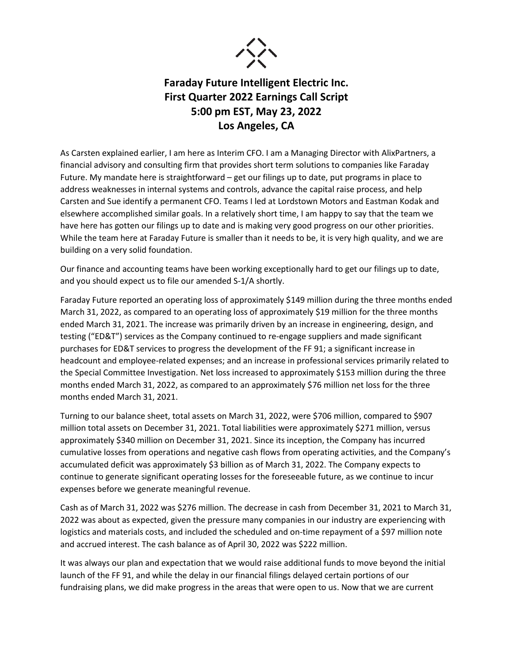

As Carsten explained earlier, I am here as Interim CFO. I am a Managing Director with AlixPartners, a financial advisory and consulting firm that provides short term solutions to companies like Faraday Future. My mandate here is straightforward – get our filings up to date, put programs in place to address weaknesses in internal systems and controls, advance the capital raise process, and help Carsten and Sue identify a permanent CFO. Teams I led at Lordstown Motors and Eastman Kodak and elsewhere accomplished similar goals. In a relatively short time, I am happy to say that the team we have here has gotten our filings up to date and is making very good progress on our other priorities. While the team here at Faraday Future is smaller than it needs to be, it is very high quality, and we are building on a very solid foundation.

Our finance and accounting teams have been working exceptionally hard to get our filings up to date, and you should expect us to file our amended S-1/A shortly.

Faraday Future reported an operating loss of approximately \$149 million during the three months ended March 31, 2022, as compared to an operating loss of approximately \$19 million for the three months ended March 31, 2021. The increase was primarily driven by an increase in engineering, design, and testing ("ED&T") services as the Company continued to re-engage suppliers and made significant purchases for ED&T services to progress the development of the FF 91; a significant increase in headcount and employee-related expenses; and an increase in professional services primarily related to the Special Committee Investigation. Net loss increased to approximately \$153 million during the three months ended March 31, 2022, as compared to an approximately \$76 million net loss for the three months ended March 31, 2021.

Turning to our balance sheet, total assets on March 31, 2022, were \$706 million, compared to \$907 million total assets on December 31, 2021. Total liabilities were approximately \$271 million, versus approximately \$340 million on December 31, 2021. Since its inception, the Company has incurred cumulative losses from operations and negative cash flows from operating activities, and the Company's accumulated deficit was approximately \$3 billion as of March 31, 2022. The Company expects to continue to generate significant operating losses for the foreseeable future, as we continue to incur expenses before we generate meaningful revenue.

Cash as of March 31, 2022 was \$276 million. The decrease in cash from December 31, 2021 to March 31, 2022 was about as expected, given the pressure many companies in our industry are experiencing with logistics and materials costs, and included the scheduled and on-time repayment of a \$97 million note and accrued interest. The cash balance as of April 30, 2022 was \$222 million.

It was always our plan and expectation that we would raise additional funds to move beyond the initial launch of the FF 91, and while the delay in our financial filings delayed certain portions of our fundraising plans, we did make progress in the areas that were open to us. Now that we are current